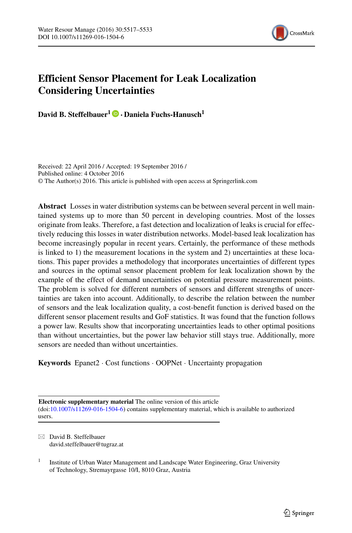

# **Efficient Sensor Placement for Leak Localization Considering Uncertainties**

**David B. Steffelbauer1 · Daniela Fuchs-Hanusch1**

Received: 22 April 2016 / Accepted: 19 September 2016 / Published online: 4 October 2016 © The Author(s) 2016. This article is published with open access at Springerlink.com

**Abstract** Losses in water distribution systems can be between several percent in well maintained systems up to more than 50 percent in developing countries. Most of the losses originate from leaks. Therefore, a fast detection and localization of leaks is crucial for effectively reducing this losses in water distribution networks. Model-based leak localization has become increasingly popular in recent years. Certainly, the performance of these methods is linked to 1) the measurement locations in the system and 2) uncertainties at these locations. This paper provides a methodology that incorporates uncertainties of different types and sources in the optimal sensor placement problem for leak localization shown by the example of the effect of demand uncertainties on potential pressure measurement points. The problem is solved for different numbers of sensors and different strengths of uncertainties are taken into account. Additionally, to describe the relation between the number of sensors and the leak localization quality, a cost-benefit function is derived based on the different sensor placement results and GoF statistics. It was found that the function follows a power law. Results show that incorporating uncertainties leads to other optimal positions than without uncertainties, but the power law behavior still stays true. Additionally, more sensors are needed than without uncertainties.

**Keywords** Epanet2 · Cost functions · OOPNet · Uncertainty propagation

**Electronic supplementary material** The online version of this article (doi[:10.1007/s11269-016-1504-6\)](http://dx.doi.org/10.1007/s11269-016-1504-6) contains supplementary material, which is available to authorized users.

 $\boxtimes$  David B. Steffelbauer [david.steffelbauer@tugraz.at](mailto:david.steffelbauer@tugraz.at)

<sup>1</sup> Institute of Urban Water Management and Landscape Water Engineering, Graz University of Technology, Stremayrgasse 10/I, 8010 Graz, Austria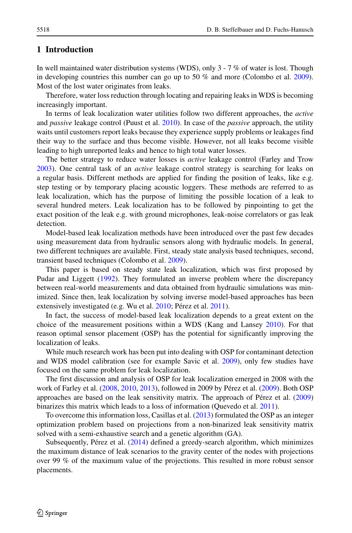# **1 Introduction**

In well maintained water distribution systems (WDS), only 3 - 7 % of water is lost. Though in developing countries this number can go up to 50 % and more (Colombo et al. [2009\)](#page-15-0). Most of the lost water originates from leaks.

Therefore, water loss reduction through locating and repairing leaks in WDS is becoming increasingly important.

In terms of leak localization water utilities follow two different approaches, the *active* and *passive* leakage control (Puust et al. [2010\)](#page-15-1). In case of the *passive* approach, the utility waits until customers report leaks because they experience supply problems or leakages find their way to the surface and thus become visible. However, not all leaks become visible leading to high unreported leaks and hence to high total water losses.

The better strategy to reduce water losses is *active* leakage control (Farley and Trow [2003\)](#page-15-2). One central task of an *active* leakage control strategy is searching for leaks on a regular basis. Different methods are applied for finding the position of leaks, like e.g. step testing or by temporary placing acoustic loggers. These methods are referred to as leak localization, which has the purpose of limiting the possible location of a leak to several hundred meters. Leak localization has to be followed by pinpointing to get the exact position of the leak e.g. with ground microphones, leak-noise correlators or gas leak detection.

Model-based leak localization methods have been introduced over the past few decades using measurement data from hydraulic sensors along with hydraulic models. In general, two different techniques are available. First, steady state analysis based techniques, second, transient based techniques (Colombo et al. [2009\)](#page-15-0).

This paper is based on steady state leak localization, which was first proposed by Pudar and Liggett [\(1992\)](#page-15-3). They formulated an inverse problem where the discrepancy between real-world measurements and data obtained from hydraulic simulations was minimized. Since then, leak localization by solving inverse model-based approaches has been extensively investigated (e.g. Wu et al. [2010;](#page-16-0) Pérez et al. [2011\)](#page-15-4).

In fact, the success of model-based leak localization depends to a great extent on the choice of the measurement positions within a WDS (Kang and Lansey [2010\)](#page-15-5). For that reason optimal sensor placement (OSP) has the potential for significantly improving the localization of leaks.

While much research work has been put into dealing with OSP for contaminant detection and WDS model calibration (see for example Savic et al. [2009\)](#page-16-1), only few studies have focused on the same problem for leak localization.

The first discussion and analysis of OSP for leak localization emerged in 2008 with the work of Farley et al. [\(2008,](#page-15-6) [2010,](#page-15-7) [2013\)](#page-15-8), followed in 2009 by Pérez et al. ([2009\)](#page-15-9). Both OSP approaches are based on the leak sensitivity matrix. The approach of Pérez et al.  $(2009)$  $(2009)$ binarizes this matrix which leads to a loss of information (Quevedo et al. [2011\)](#page-15-10).

To overcome this information loss, Casillas et al. [\(2013\)](#page-15-11) formulated the OSP as an integer optimization problem based on projections from a non-binarized leak sensitivity matrix solved with a semi-exhaustive search and a genetic algorithm (GA).

Subsequently, Pérez et al.  $(2014)$  $(2014)$  defined a greedy-search algorithm, which minimizes the maximum distance of leak scenarios to the gravity center of the nodes with projections over 99 % of the maximum value of the projections. This resulted in more robust sensor placements.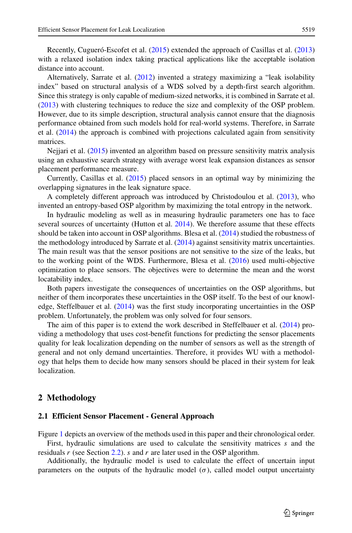Recently, Cugueró-Escofet et al. ([2015\)](#page-15-13) extended the approach of Casillas et al. [\(2013\)](#page-15-11) with a relaxed isolation index taking practical applications like the acceptable isolation distance into account.

Alternatively, Sarrate et al. [\(2012\)](#page-16-2) invented a strategy maximizing a "leak isolability index" based on structural analysis of a WDS solved by a depth-first search algorithm. Since this strategy is only capable of medium-sized networks, it is combined in Sarrate et al. [\(2013\)](#page-16-3) with clustering techniques to reduce the size and complexity of the OSP problem. However, due to its simple description, structural analysis cannot ensure that the diagnosis performance obtained from such models hold for real-world systems. Therefore, in Sarrate et al. [\(2014\)](#page-16-4) the approach is combined with projections calculated again from sensitivity matrices.

Nejjari et al. [\(2015\)](#page-15-14) invented an algorithm based on pressure sensitivity matrix analysis using an exhaustive search strategy with average worst leak expansion distances as sensor placement performance measure.

Currently, Casillas et al. [\(2015\)](#page-15-15) placed sensors in an optimal way by minimizing the overlapping signatures in the leak signature space.

A completely different approach was introduced by Christodoulou et al. [\(2013\)](#page-15-16), who invented an entropy-based OSP algorithm by maximizing the total entropy in the network.

In hydraulic modeling as well as in measuring hydraulic parameters one has to face several sources of uncertainty (Hutton et al. [2014\)](#page-15-17). We therefore assume that these effects should be taken into account in OSP algorithms. Blesa et al. [\(2014\)](#page-15-18) studied the robustness of the methodology introduced by Sarrate et al. [\(2014\)](#page-16-4) against sensitivity matrix uncertainties. The main result was that the sensor positions are not sensitive to the size of the leaks, but to the working point of the WDS. Furthermore, Blesa et al. [\(2016\)](#page-15-19) used multi-objective optimization to place sensors. The objectives were to determine the mean and the worst locatability index.

Both papers investigate the consequences of uncertainties on the OSP algorithms, but neither of them incorporates these uncertainties in the OSP itself. To the best of our knowledge, Steffelbauer et al. [\(2014\)](#page-16-5) was the first study incorporating uncertainties in the OSP problem. Unfortunately, the problem was only solved for four sensors.

The aim of this paper is to extend the work described in Steffelbauer et al. [\(2014\)](#page-16-5) providing a methodology that uses cost-benefit functions for predicting the sensor placements quality for leak localization depending on the number of sensors as well as the strength of general and not only demand uncertainties. Therefore, it provides WU with a methodology that helps them to decide how many sensors should be placed in their system for leak localization.

## **2 Methodology**

#### **2.1 Efficient Sensor Placement - General Approach**

Figure [1](#page-3-0) depicts an overview of the methods used in this paper and their chronological order. First, hydraulic simulations are used to calculate the sensitivity matrices *s* and the residuals *r* (see Section [2.2\)](#page-3-1). *s* and *r* are later used in the OSP algorithm.

Additionally, the hydraulic model is used to calculate the effect of uncertain input parameters on the outputs of the hydraulic model  $(\sigma)$ , called model output uncertainty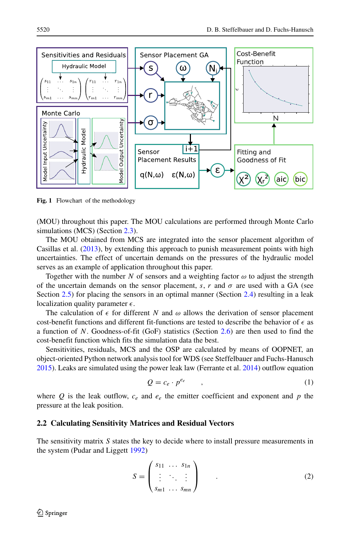<span id="page-3-0"></span>

**Fig. 1** Flowchart of the methodology

(MOU) throughout this paper. The MOU calculations are performed through Monte Carlo simulations (MCS) (Section [2.3\)](#page-4-0).

The MOU obtained from MCS are integrated into the sensor placement algorithm of Casillas et al. [\(2013\)](#page-15-11), by extending this approach to punish measurement points with high uncertainties. The effect of uncertain demands on the pressures of the hydraulic model serves as an example of application throughout this paper.

Together with the number *N* of sensors and a weighting factor  $\omega$  to adjust the strength of the uncertain demands on the sensor placement, *s*, *r* and  $\sigma$  are used with a GA (see Section [2.5\)](#page-6-0) for placing the sensors in an optimal manner (Section [2.4\)](#page-5-0) resulting in a leak localization quality parameter  $\epsilon$ .

The calculation of  $\epsilon$  for different *N* and  $\omega$  allows the derivation of sensor placement cost-benefit functions and different fit-functions are tested to describe the behavior of  $\epsilon$  as a function of *N*. Goodness-of-fit (GoF) statistics (Section [2.6\)](#page-6-1) are then used to find the cost-benefit function which fits the simulation data the best.

Sensitivities, residuals, MCS and the OSP are calculated by means of OOPNET, an object-oriented Python network analysis tool for WDS (see Steffelbauer and Fuchs-Hanusch [2015\)](#page-16-6). Leaks are simulated using the power leak law (Ferrante et al. [2014\)](#page-15-20) outflow equation

$$
Q = c_e \cdot p^{e_e} \tag{1}
$$

where Q is the leak outflow,  $c_e$  and  $e_e$  the emitter coefficient and exponent and p the pressure at the leak position.

## <span id="page-3-1"></span>**2.2 Calculating Sensitivity Matrices and Residual Vectors**

The sensitivity matrix *S* states the key to decide where to install pressure measurements in the system (Pudar and Liggett [1992\)](#page-15-3)

$$
S = \begin{pmatrix} s_{11} & \dots & s_{1n} \\ \vdots & \ddots & \vdots \\ s_{m1} & \dots & s_{mn} \end{pmatrix} . \tag{2}
$$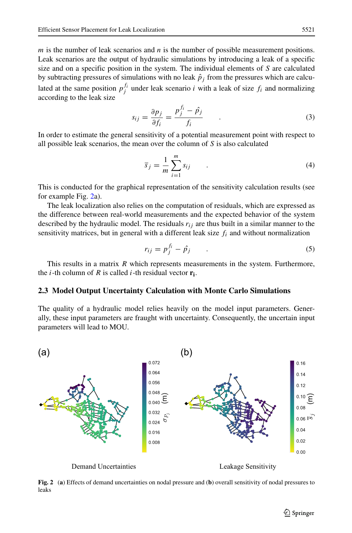*m* is the number of leak scenarios and *n* is the number of possible measurement positions. Leak scenarios are the output of hydraulic simulations by introducing a leak of a specific size and on a specific position in the system. The individual elements of *S* are calculated by subtracting pressures of simulations with no leak  $\hat{p}_i$  from the pressures which are calculated at the same position  $p_j^{f_i}$  under leak scenario *i* with a leak of size  $f_i$  and normalizing according to the leak size

$$
s_{ij} = \frac{\partial p_j}{\partial f_i} = \frac{p_j^{f_i} - \hat{p}_j}{f_i} \tag{3}
$$

In order to estimate the general sensitivity of a potential measurement point with respect to all possible leak scenarios, the mean over the column of *S* is also calculated

<span id="page-4-2"></span>
$$
\overline{s}_j = \frac{1}{m} \sum_{i=1}^m s_{ij} \tag{4}
$$

This is conducted for the graphical representation of the sensitivity calculation results (see for example Fig. [2a](#page-4-1)).

The leak localization also relies on the computation of residuals, which are expressed as the difference between real-world measurements and the expected behavior of the system described by the hydraulic model. The residuals *rij* are thus built in a similar manner to the sensitivity matrices, but in general with a different leak size  $f_i$  and without normalization

$$
r_{ij} = p_j^{f_i} - \hat{p}_j \tag{5}
$$

This results in a matrix *R* which represents measurements in the system. Furthermore, the *i*-th column of *R* is called *i*-th residual vector  $\mathbf{r_i}$ .

## <span id="page-4-0"></span>**2.3 Model Output Uncertainty Calculation with Monte Carlo Simulations**

The quality of a hydraulic model relies heavily on the model input parameters. Generally, these input parameters are fraught with uncertainty. Consequently, the uncertain input parameters will lead to MOU.

<span id="page-4-1"></span>

Demand Uncertainties Leakage Sensitivity

**Fig. 2** (**a**) Effects of demand uncertainties on nodal pressure and (**b**) overall sensitivity of nodal pressures to leaks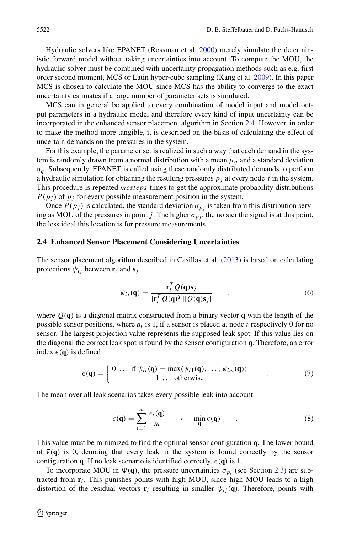Hydraulic solvers like EPANET (Rossman et al. [2000\)](#page-15-21) merely simulate the deterministic forward model without taking uncertainties into account. To compute the MOU, the hydraulic solver must be combined with uncertainty propagation methods such as e.g. first order second moment, MCS or Latin hyper-cube sampling (Kang et al. [2009\)](#page-15-22). In this paper MCS is chosen to calculate the MOU since MCS has the ability to converge to the exact uncertainty estimates if a large number of parameter sets is simulated.

MCS can in general be applied to every combination of model input and model output parameters in a hydraulic model and therefore every kind of input uncertainty can be incorporated in the enhanced sensor placement algorithm in Section [2.4.](#page-5-0) However, in order to make the method more tangible, it is described on the basis of calculating the effect of uncertain demands on the pressures in the system.

For this example, the parameter set is realized in such a way that each demand in the system is randomly drawn from a normal distribution with a mean  $\mu_q$  and a standard deviation  $\sigma_q$ . Subsequently, EPANET is called using these randomly distributed demands to perform a hydraulic simulation for obtaining the resulting pressures  $p_i$  at every node  $j$  in the system. This procedure is repeated *mcsteps*-times to get the approximate probability distributions  $P(p_i)$  of  $p_j$  for every possible measurement position in the system.

Once  $P(p_j)$  is calculated, the standard deviation  $\sigma_{p_j}$  is taken from this distribution serving as MOU of the pressures in point *j*. The higher  $\sigma_p$ , the noisier the signal is at this point, the less ideal this location is for pressure measurements.

#### <span id="page-5-0"></span>**2.4 Enhanced Sensor Placement Considering Uncertainties**

The sensor placement algorithm described in Casillas et al. [\(2013\)](#page-15-11) is based on calculating projections  $\psi_{ij}$  between  $\mathbf{r}_i$  and  $\mathbf{s}_j$ 

<span id="page-5-1"></span>
$$
\psi_{ij}(\mathbf{q}) = \frac{\mathbf{r}_i^T Q(\mathbf{q}) \mathbf{s}_j}{|\mathbf{r}_i^T Q(\mathbf{q})^T| |Q(\mathbf{q}) \mathbf{s}_j|}, \qquad (6)
$$

where  $O(q)$  is a diagonal matrix constructed from a binary vector q with the length of the possible sensor positions, where  $q_i$  is 1, if a sensor is placed at node  $i$  respectively 0 for no sensor. The largest projection value represents the supposed leak spot. If this value lies on the diagonal the correct leak spot is found by the sensor configuration **q**. Therefore, an error index  $\epsilon(\mathbf{q})$  is defined

$$
\epsilon(\mathbf{q}) = \begin{cases} 0 & \dots \text{ if } \psi_{ii}(\mathbf{q}) = \max(\psi_{i1}(\mathbf{q}), \dots, \psi_{im}(\mathbf{q})) \\ 1 & \dots \text{ otherwise} \end{cases}
$$
(7)

The mean over all leak scenarios takes every possible leak into account

$$
\overline{\epsilon}(\mathbf{q}) = \sum_{i=1}^{m} \frac{\epsilon_i(\mathbf{q})}{m} \rightarrow \min_{\mathbf{q}} \overline{\epsilon}(\mathbf{q}) \quad . \tag{8}
$$

This value must be minimized to find the optimal sensor configuration **q**. The lower bound of  $\bar{\epsilon}(\mathbf{q})$  is 0, denoting that every leak in the system is found correctly by the sensor configuration **q**. If no leak scenario is identified correctly,  $\bar{\epsilon}(\mathbf{q})$  is 1.

To incorporate MOU in  $\Psi(\mathbf{q})$ , the pressure uncertainties  $\sigma_{p_i}$  (see Section [2.3\)](#page-4-0) are subtracted from  $\mathbf{r}_i$ . This punishes points with high MOU, since high MOU leads to a high distortion of the residual vectors  $\mathbf{r}_i$  resulting in smaller  $\psi_{ij}(\mathbf{q})$ . Therefore, points with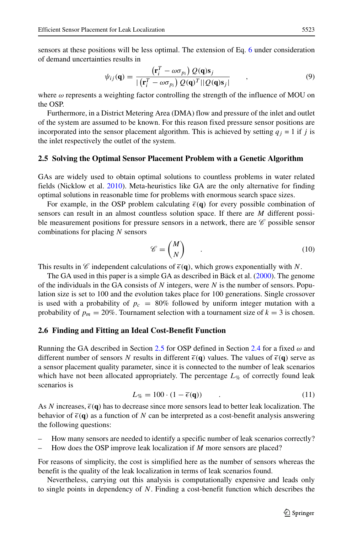sensors at these positions will be less optimal. The extension of Eq. [6](#page-5-1) under consideration of demand uncertainties results in

$$
\psi_{ij}(\mathbf{q}) = \frac{\left(\mathbf{r}_i^T - \omega \sigma_{p_i}\right) Q(\mathbf{q}) \mathbf{s}_j}{|\left(\mathbf{r}_i^T - \omega \sigma_{p_i}\right) Q(\mathbf{q})^T||Q(\mathbf{q}) \mathbf{s}_j|} \qquad , \qquad (9)
$$

where  $\omega$  represents a weighting factor controlling the strength of the influence of MOU on the OSP.

Furthermore, in a District Metering Area (DMA) flow and pressure of the inlet and outlet of the system are assumed to be known. For this reason fixed pressure sensor positions are incorporated into the sensor placement algorithm. This is achieved by setting  $q_j = 1$  if *j* is the inlet respectively the outlet of the system.

#### <span id="page-6-0"></span>**2.5 Solving the Optimal Sensor Placement Problem with a Genetic Algorithm**

GAs are widely used to obtain optimal solutions to countless problems in water related fields (Nicklow et al. [2010\)](#page-15-23). Meta-heuristics like GA are the only alternative for finding optimal solutions in reasonable time for problems with enormous search space sizes.

For example, in the OSP problem calculating  $\bar{\epsilon}(\mathbf{q})$  for every possible combination of sensors can result in an almost countless solution space. If there are *M* different possible measurement positions for pressure sensors in a network, there are  $\mathscr C$  possible sensor combinations for placing *N* sensors

$$
\mathscr{C} = \begin{pmatrix} M \\ N \end{pmatrix} \tag{10}
$$

This results in  $\mathcal C$  independent calculations of  $\bar{\epsilon}(\mathbf{q})$ , which grows exponentially with *N*.

The GA used in this paper is a simple GA as described in Bäck et al.  $(2000)$  $(2000)$ . The genome of the individuals in the GA consists of *N* integers, were *N* is the number of sensors. Population size is set to 100 and the evolution takes place for 100 generations. Single crossover is used with a probability of  $p_c = 80\%$  followed by uniform integer mutation with a probability of  $p_m = 20\%$ . Tournament selection with a tournament size of  $k = 3$  is chosen.

## <span id="page-6-1"></span>**2.6 Finding and Fitting an Ideal Cost-Benefit Function**

Running the GA described in Section [2.5](#page-6-0) for OSP defined in Section [2.4](#page-5-0) for a fixed *ω* and different number of sensors *N* results in different  $\bar{\epsilon}(\mathbf{q})$  values. The values of  $\bar{\epsilon}(\mathbf{q})$  serve as a sensor placement quality parameter, since it is connected to the number of leak scenarios which have not been allocated appropriately. The percentage  $L_{\%}$  of correctly found leak scenarios is

$$
L_{\%} = 100 \cdot (1 - \overline{\epsilon}(\mathbf{q})) \tag{11}
$$

As *N* increases,  $\bar{\epsilon}(\mathbf{q})$  has to decrease since more sensors lead to better leak localization. The behavior of  $\bar{\epsilon}(\mathbf{q})$  as a function of N can be interpreted as a cost-benefit analysis answering the following questions:

- How many sensors are needed to identify a specific number of leak scenarios correctly?
- How does the OSP improve leak localization if *M* more sensors are placed?

For reasons of simplicity, the cost is simplified here as the number of sensors whereas the benefit is the quality of the leak localization in terms of leak scenarios found.

Nevertheless, carrying out this analysis is computationally expensive and leads only to single points in dependency of *N*. Finding a cost-benefit function which describes the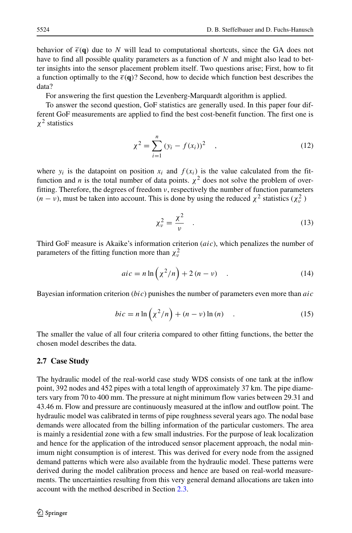behavior of  $\bar{\epsilon}(\mathbf{q})$  due to *N* will lead to computational shortcuts, since the GA does not have to find all possible quality parameters as a function of *N* and might also lead to better insights into the sensor placement problem itself. Two questions arise; First, how to fit a function optimally to the  $\bar{\epsilon}(\mathbf{q})$ ? Second, how to decide which function best describes the data?

For answering the first question the Levenberg-Marquardt algorithm is applied.

To answer the second question, GoF statistics are generally used. In this paper four different GoF measurements are applied to find the best cost-benefit function. The first one is *χ*<sup>2</sup> statistics

<span id="page-7-0"></span>
$$
\chi^2 = \sum_{i=1}^n (y_i - f(x_i))^2 \quad , \tag{12}
$$

where  $y_i$  is the datapoint on position  $x_i$  and  $f(x_i)$  is the value calculated from the fitfunction and *n* is the total number of data points.  $\chi^2$  does not solve the problem of overfitting. Therefore, the degrees of freedom *ν*, respectively the number of function parameters  $(n - v)$ , must be taken into account. This is done by using the reduced  $\chi^2$  statistics  $(\chi^2_v)$ 

<span id="page-7-1"></span>
$$
\chi_{\nu}^2 = \frac{\chi^2}{\nu} \quad . \tag{13}
$$

Third GoF measure is Akaike's information criterion (*aic*), which penalizes the number of parameters of the fitting function more than  $\chi^2_{\nu}$ 

<span id="page-7-2"></span>
$$
aic = n \ln \left(\chi^2/n\right) + 2\left(n - \nu\right) \quad . \tag{14}
$$

Bayesian information criterion (*bic*) punishes the number of parameters even more than *aic*

<span id="page-7-3"></span>
$$
bic = n \ln \left(\chi^2/n\right) + (n - v) \ln(n) \quad . \tag{15}
$$

The smaller the value of all four criteria compared to other fitting functions, the better the chosen model describes the data.

## **2.7 Case Study**

The hydraulic model of the real-world case study WDS consists of one tank at the inflow point, 392 nodes and 452 pipes with a total length of approximately 37 km. The pipe diameters vary from 70 to 400 mm. The pressure at night minimum flow varies between 29.31 and 43.46 m. Flow and pressure are continuously measured at the inflow and outflow point. The hydraulic model was calibrated in terms of pipe roughness several years ago. The nodal base demands were allocated from the billing information of the particular customers. The area is mainly a residential zone with a few small industries. For the purpose of leak localization and hence for the application of the introduced sensor placement approach, the nodal minimum night consumption is of interest. This was derived for every node from the assigned demand patterns which were also available from the hydraulic model. These patterns were derived during the model calibration process and hence are based on real-world measurements. The uncertainties resulting from this very general demand allocations are taken into account with the method described in Section [2.3.](#page-4-0)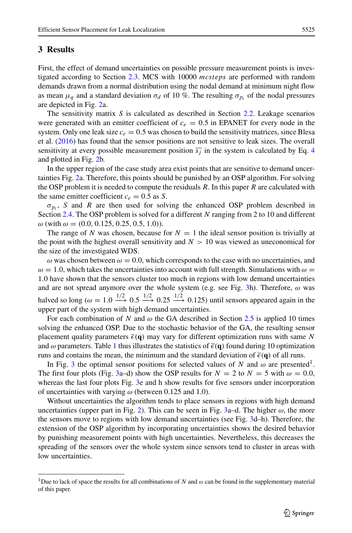# **3 Results**

First, the effect of demand uncertainties on possible pressure measurement points is investigated according to Section [2.3.](#page-4-0) MCS with 10000 *mcsteps* are performed with random demands drawn from a normal distribution using the nodal demand at minimum night flow as mean  $\mu_q$  and a standard deviation  $\sigma_d$  of 10 %. The resulting  $\sigma_{p_i}$  of the nodal pressures are depicted in Fig. [2a](#page-4-1).

The sensitivity matrix *S* is calculated as described in Section [2.2.](#page-3-1) Leakage scenarios were generated with an emitter coefficient of  $c_e = 0.5$  in EPANET for every node in the system. Only one leak size  $c_e = 0.5$  was chosen to build the sensitivity matrices, since Blesa et al. [\(2016\)](#page-15-19) has found that the sensor positions are not sensitive to leak sizes. The overall sensitivity at every possible measurement position  $\overline{s_i}$  in the system is calculated by Eq. [4](#page-4-2) and plotted in Fig. [2b](#page-4-1).

In the upper region of the case study area exist points that are sensitive to demand uncertainties Fig. [2a](#page-4-1). Therefore, this points should be punished by an OSP algorithm. For solving the OSP problem it is needed to compute the residuals *R*. In this paper *R* are calculated with the same emitter coefficient  $c_e = 0.5$  as *S*.

 $\sigma_{p_i}$ , *S* and *R* are then used for solving the enhanced OSP problem described in Section [2.4.](#page-5-0) The OSP problem is solved for a different *N* ranging from 2 to 10 and different *ω* (with *ω* = *(*0*.*0*,* 0*.*125*,* 0*.*25*,* 0*.*5*,* 1*.*0*)*).

The range of N was chosen, because for  $N = 1$  the ideal sensor position is trivially at the point with the highest overall sensitivity and  $N > 10$  was viewed as uneconomical for the size of the investigated WDS.

 $\omega$  was chosen between  $\omega = 0.0$ , which corresponds to the case with no uncertainties, and  $\omega = 1.0$ , which takes the uncertainties into account with full strength. Simulations with  $\omega =$ 1*.*0 have shown that the sensors cluster too much in regions with low demand uncertainties and are not spread anymore over the whole system (e.g. see Fig. [3h](#page-9-0)). Therefore, *ω* was halved so long  $(\omega = 1.0 \stackrel{1/2}{\longrightarrow} 0.5 \stackrel{1/2}{\longrightarrow} 0.25 \stackrel{1/2}{\longrightarrow} 0.125)$  until sensors appeared again in the upper part of the system with high demand uncertainties.

For each combination of *N* and  $\omega$  the GA described in Section [2.5](#page-6-0) is applied 10 times solving the enhanced OSP. Due to the stochastic behavior of the GA, the resulting sensor placement quality parameters  $\bar{\epsilon}(\mathbf{q})$  may vary for different optimization runs with same N and  $\omega$  parameters. Table [1](#page-10-0) thus illustrates the statistics of  $\bar{\epsilon}(\mathbf{q})$  found during 10 optimization runs and contains the mean, the minimum and the standard deviation of  $\bar{\epsilon}(\mathbf{q})$  of all runs.

In Fig. [3](#page-9-0) the optimal sensor positions for selected values of *N* and  $\omega$  are presented<sup>1</sup>. The first four plots (Fig. [3a](#page-9-0)–d) show the OSP results for  $N = 2$  to  $N = 5$  with  $\omega = 0.0$ , whereas the last four plots Fig. [3e](#page-9-0) and h show results for five sensors under incorporation of uncertainties with varying *ω* (between 0.125 and 1.0).

Without uncertainties the algorithm tends to place sensors in regions with high demand uncertainties (upper part in Fig. [2\)](#page-4-1). This can be seen in Fig. [3a](#page-9-0)–d. The higher *ω*, the more the sensors move to regions with low demand uncertainties (see Fig. [3d](#page-9-0)–h). Therefore, the extension of the OSP algorithm by incorporating uncertainties shows the desired behavior by punishing measurement points with high uncertainties. Nevertheless, this decreases the spreading of the sensors over the whole system since sensors tend to cluster in areas with low uncertainties.

<span id="page-8-0"></span><sup>&</sup>lt;sup>1</sup>Due to lack of space the results for all combinations of *N* and  $\omega$  can be found in the supplementary material of this paper.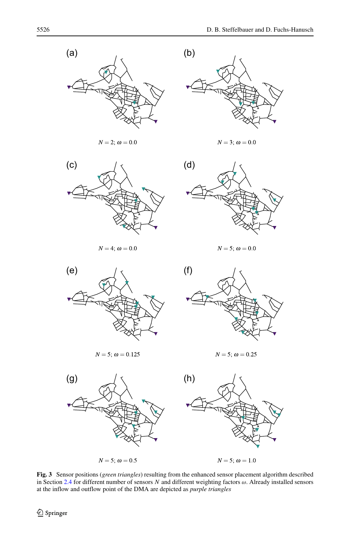<span id="page-9-0"></span>

 $N = 2; \omega = 0.0$ 



 $N = 3; \omega = 0.0$ 



 $N = 4; \omega = 0.0$ 



 $N=5;\,\omega=0.0$ 



 $N = 5; \omega = 0.125$ 



 $N = 5; \omega = 0.25$ 



**Fig. 3** Sensor positions (*green triangles*) resulting from the enhanced sensor placement algorithm described in Section [2.4](#page-5-0) for different number of sensors *N* and different weighting factors *ω*. Already installed sensors at the inflow and outflow point of the DMA are depicted as *purple triangles*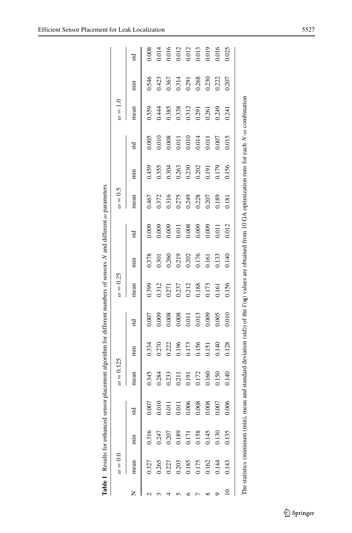| $\omega = 0.0$                                                  |                         |                 | $\omega=0.125$ |               |       | $\omega = 0.25$ |               |       | $\omega = 0.5$ |                  |       | $\omega = 1.0$ |               |       |
|-----------------------------------------------------------------|-------------------------|-----------------|----------------|---------------|-------|-----------------|---------------|-------|----------------|------------------|-------|----------------|---------------|-------|
| mean                                                            | min                     | Зd              | mean           | $\frac{1}{2}$ | std   | mean            | $\frac{1}{2}$ | std   | mean           | $\lim_{x \to 0}$ | std   | mean           | $\frac{1}{2}$ | std   |
| 0.327                                                           | 0.316                   | $\overline{z}$  | 0.345          | 0.334         | 0.007 | 0.399           | 0.378         | 0.009 | 0.467          | 0.459            | 0.005 | 0.559          | 0.546         | 0.008 |
| 0.265                                                           | 0.247                   | $\circ$<br>0.01 | 0.284          | 0.270         | 0.009 | 0.312           | 0.301         | 0.009 | 0.372          | 0.355            | 0.010 | 0.444          | 0.423         | 0.014 |
| 0.227                                                           | 0.207                   | 0.01            | 0.233          | 0.222         | 0.008 | 0.271           | 0.260         | 0.009 | 0.316          | 0.304            | 0.008 | 0.385          | 0.367         | 0.016 |
|                                                                 | 0.189                   | 0.01            | 0.211          | 0.196         | 0.008 | 0.237           | 0.219         | 0.011 | 0.275          | 0.263            | 0.011 | 0.338          | 0.314         | 0.012 |
|                                                                 |                         | 0.006           | 0.191          | 0.173         | 0.011 | 0.212           | 0.202         | 0.008 | 0.249          | 0.230            | 0.010 | 0.312          | 0.291         | 0.012 |
| $\begin{array}{c} 0.203 \\ 0.185 \\ 0.175 \\ 0.162 \end{array}$ | 0.171<br>0.158<br>0.145 | 0.008           | 0.172          | 0.156         | 0.013 | 0.188           | 0.176         | 0.009 | 0.228          | 0.202            | 0.014 | 0.291          | 0.268         | 0.013 |
|                                                                 |                         | 0.008           | 0.160          | 0.151         | 0.009 | 0.173           | 0.161         | 0.009 | 0.207          | 0.191            | 0.011 | 0.261          | 0.230         | 0.019 |
| 0.144                                                           | 0.130                   | 1.007           | 0.150          | 0.140         | 0.005 | 0.161           | 0.133         | 0.011 | 0.189          | 0.179            | 0.007 | 0.249          | 0.222         | 0.016 |
| 0.143                                                           | 0.135                   | 0.006           | 0.140          | 0.128         | 0.010 | 0.156           | 0.140         | 0.012 | 0.181          | 0.156            | 0.015 | 0.241          | 0.207         | 0.025 |

<span id="page-10-0"></span>

| $\ddot{\phantom{a}}$         |
|------------------------------|
| j                            |
|                              |
|                              |
| $\frac{1}{2}$                |
|                              |
|                              |
| ֖֖֖֚֚֚֚֚֬                    |
| ֦֦֧֦֧֦֧֦֦֖֚֚֚֚֚֡֝֬֝֬֝֬֝<br>ć |
|                              |
|                              |
| l                            |
| i                            |
| COOM ON                      |
| $\overline{a}$               |
|                              |
| $\ddot{\phantom{a}}$         |
| j                            |
| $\lambda$ csu''<br>ţ         |
| ٣                            |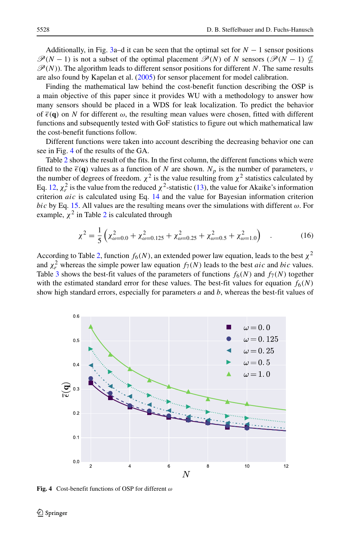Additionally, in Fig. [3a](#page-9-0)–d it can be seen that the optimal set for  $N-1$  sensor positions  $\mathcal{P}(N-1)$  is not a subset of the optimal placement  $\mathcal{P}(N)$  of *N* sensors ( $\mathcal{P}(N-1) \nsubseteq$  $\mathscr{P}(N)$ ). The algorithm leads to different sensor positions for different *N*. The same results are also found by Kapelan et al. [\(2005\)](#page-15-24) for sensor placement for model calibration.

Finding the mathematical law behind the cost-benefit function describing the OSP is a main objective of this paper since it provides WU with a methodology to answer how many sensors should be placed in a WDS for leak localization. To predict the behavior of  $\bar{\epsilon}(\mathbf{q})$  on N for different  $\omega$ , the resulting mean values were chosen, fitted with different functions and subsequently tested with GoF statistics to figure out which mathematical law the cost-benefit functions follow.

Different functions were taken into account describing the decreasing behavior one can see in Fig. [4](#page-11-0) of the results of the GA.

Table [2](#page-12-0) shows the result of the fits. In the first column, the different functions which were fitted to the  $\bar{\epsilon}(\mathbf{q})$  values as a function of *N* are shown.  $N_p$  is the number of parameters, *v* the number of degrees of freedom.  $\chi^2$  is the value resulting from  $\chi^2$  statistics calculated by Eq. [12,](#page-7-0)  $\chi^2_r$  is the value from the reduced  $\chi^2$ -statistic [\(13\)](#page-7-1), the value for Akaike's information criterion *aic* is calculated using Eq. [14](#page-7-2) and the value for Bayesian information criterion *bic* by Eq. [15.](#page-7-3) All values are the resulting means over the simulations with different  $\omega$ . For example,  $\chi^2$  $\chi^2$  in Table 2 is calculated through

$$
\chi^2 = \frac{1}{5} \left( \chi^2_{\omega=0.0} + \chi^2_{\omega=0.125} + \chi^2_{\omega=0.25} + \chi^2_{\omega=0.5} + \chi^2_{\omega=1.0} \right) \quad . \tag{16}
$$

According to Table [2,](#page-12-0) function  $f_6(N)$ , an extended power law equation, leads to the best  $\chi^2$ and  $\chi^2$  whereas the simple power law equation  $f_7(N)$  leads to the best *aic* and *bic* values. Table [3](#page-12-1) shows the best-fit values of the parameters of functions  $f_6(N)$  and  $f_7(N)$  together with the estimated standard error for these values. The best-fit values for equation  $f_6(N)$ show high standard errors, especially for parameters *a* and *b*, whereas the best-fit values of

<span id="page-11-0"></span>

**Fig. 4** Cost-benefit functions of OSP for different *ω*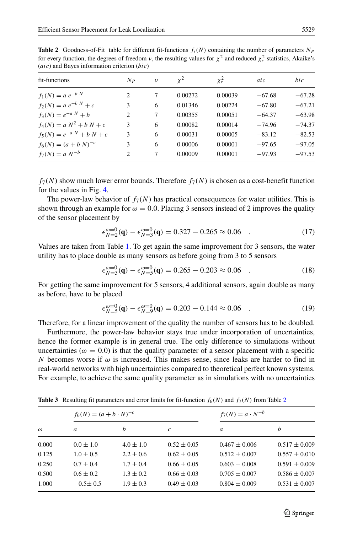<span id="page-12-0"></span>**Table 2** Goodness-of-Fit table for different fit-functions  $f_i(N)$  containing the number of parameters  $N_P$ for every function, the degrees of freedom *v*, the resulting values for  $\chi^2$  and reduced  $\chi^2$  statistics, Akaike's (*aic*) and Bayes information criterion (*bic*)

| fit-functions                 | $N_{P}$        | ν | $x^2$   | $\chi_r^2$ | aic      | bic      |
|-------------------------------|----------------|---|---------|------------|----------|----------|
| $f_1(N) = a e^{-b N}$         | $\overline{c}$ | 7 | 0.00272 | 0.00039    | $-67.68$ | $-67.28$ |
| $f_2(N) = a e^{-b N} + c$     | 3              | 6 | 0.01346 | 0.00224    | $-67.80$ | $-67.21$ |
| $f_3(N) = e^{-a N} + b$       | 2              | 7 | 0.00355 | 0.00051    | $-64.37$ | $-63.98$ |
| $f_4(N) = a N^2 + b N + c$    | 3              | 6 | 0.00082 | 0.00014    | $-74.96$ | $-74.37$ |
| $f_5(N) = e^{-a N} + b N + c$ | 3              | 6 | 0.00031 | 0.00005    | $-83.12$ | $-82.53$ |
| $f_6(N) = (a + b N)^{-c}$     | 3              | 6 | 0.00006 | 0.00001    | $-97.65$ | $-97.05$ |
| $f_7(N) = a N^{-b}$           | $\overline{c}$ | 7 | 0.00009 | 0.00001    | $-97.93$ | $-97.53$ |

 $f_7(N)$  show much lower error bounds. Therefore  $f_7(N)$  is chosen as a cost-benefit function for the values in Fig. [4.](#page-11-0)

The power-law behavior of  $f_7(N)$  has practical consequences for water utilities. This is shown through an example for  $\omega = 0.0$ . Placing 3 sensors instead of 2 improves the quality of the sensor placement by

$$
\epsilon_{N=2}^{\omega=0}(\mathbf{q}) - \epsilon_{N=3}^{\omega=0}(\mathbf{q}) = 0.327 - 0.265 \approx 0.06 \quad . \tag{17}
$$

Values are taken from Table [1.](#page-10-0) To get again the same improvement for 3 sensors, the water utility has to place double as many sensors as before going from 3 to 5 sensors

$$
\epsilon_{N=3}^{\omega=0}(\mathbf{q}) - \epsilon_{N=5}^{\omega=0}(\mathbf{q}) = 0.265 - 0.203 \approx 0.06 \quad . \tag{18}
$$

For getting the same improvement for 5 sensors, 4 additional sensors, again double as many as before, have to be placed

$$
\epsilon_{N=5}^{\omega=0}(\mathbf{q}) - \epsilon_{N=9}^{\omega=0}(\mathbf{q}) = 0.203 - 0.144 \approx 0.06 \quad . \tag{19}
$$

Therefore, for a linear improvement of the quality the number of sensors has to be doubled.

Furthermore, the power-law behavior stays true under incorporation of uncertainties, hence the former example is in general true. The only difference to simulations without uncertainties ( $\omega = 0.0$ ) is that the quality parameter of a sensor placement with a specific *N* becomes worse if  $\omega$  is increased. This makes sense, since leaks are harder to find in real-world networks with high uncertainties compared to theoretical perfect known systems. For example, to achieve the same quality parameter as in simulations with no uncertainties

|          | $f_6(N) = (a + b \cdot N)^{-c}$ |               |                 | $f_7(N) = a \cdot N^{-b}$ |                   |  |
|----------|---------------------------------|---------------|-----------------|---------------------------|-------------------|--|
| $\omega$ | a                               | b             | c               | a                         | h                 |  |
| 0.000    | $0.0 \pm 1.0$                   | $4.0 \pm 1.0$ | $0.52 \pm 0.05$ | $0.467 \pm 0.006$         | $0.517 \pm 0.009$ |  |
| 0.125    | $1.0 \pm 0.5$                   | $2.2 \pm 0.6$ | $0.62 \pm 0.05$ | $0.512 \pm 0.007$         | $0.557 \pm 0.010$ |  |
| 0.250    | $0.7 \pm 0.4$                   | $1.7 \pm 0.4$ | $0.66 \pm 0.05$ | $0.603 \pm 0.008$         | $0.591 \pm 0.009$ |  |
| 0.500    | $0.6 \pm 0.2$                   | $1.3 \pm 0.2$ | $0.66 \pm 0.03$ | $0.705 \pm 0.007$         | $0.586 \pm 0.007$ |  |
| 1.000    | $-0.5 \pm 0.5$                  | $1.9 \pm 0.3$ | $0.49 \pm 0.03$ | $0.804 \pm 0.009$         | $0.531 \pm 0.007$ |  |
|          |                                 |               |                 |                           |                   |  |

<span id="page-12-1"></span>**Table 3** Resulting fit parameters and error limits for fit-function  $f_6(N)$  and  $f_7(N)$  from Table [2](#page-12-0)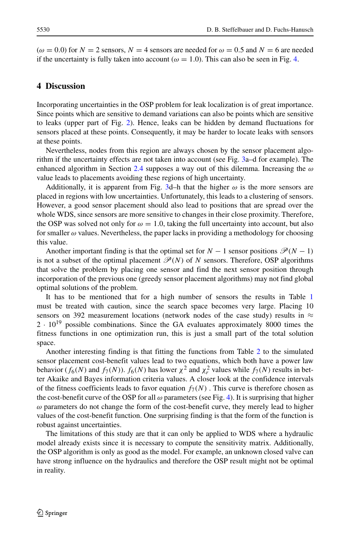$(\omega = 0.0)$  for  $N = 2$  sensors,  $N = 4$  sensors are needed for  $\omega = 0.5$  and  $N = 6$  are needed if the uncertainty is fully taken into account ( $\omega = 1.0$ ). This can also be seen in Fig. [4.](#page-11-0)

# **4 Discussion**

Incorporating uncertainties in the OSP problem for leak localization is of great importance. Since points which are sensitive to demand variations can also be points which are sensitive to leaks (upper part of Fig. [2\)](#page-4-1). Hence, leaks can be hidden by demand fluctuations for sensors placed at these points. Consequently, it may be harder to locate leaks with sensors at these points.

Nevertheless, nodes from this region are always chosen by the sensor placement algorithm if the uncertainty effects are not taken into account (see Fig. [3a](#page-9-0)–d for example). The enhanced algorithm in Section [2.4](#page-5-0) supposes a way out of this dilemma. Increasing the *ω* value leads to placements avoiding these regions of high uncertainty.

Additionally, it is apparent from Fig. [3d](#page-9-0)–h that the higher  $\omega$  is the more sensors are placed in regions with low uncertainties. Unfortunately, this leads to a clustering of sensors. However, a good sensor placement should also lead to positions that are spread over the whole WDS, since sensors are more sensitive to changes in their close proximity. Therefore, the OSP was solved not only for  $\omega = 1.0$ , taking the full uncertainty into account, but also for smaller  $\omega$  values. Nevertheless, the paper lacks in providing a methodology for choosing this value.

Another important finding is that the optimal set for  $N-1$  sensor positions  $\mathcal{P}(N-1)$ is not a subset of the optimal placement  $\mathcal{P}(N)$  of *N* sensors. Therefore, OSP algorithms that solve the problem by placing one sensor and find the next sensor position through incorporation of the previous one (greedy sensor placement algorithms) may not find global optimal solutions of the problem.

It has to be mentioned that for a high number of sensors the results in Table [1](#page-10-0) must be treated with caution, since the search space becomes very large. Placing 10 sensors on 392 measurement locations (network nodes of the case study) results in  $\approx$  $2 \cdot 10^{19}$  possible combinations. Since the GA evaluates approximately 8000 times the fitness functions in one optimization run, this is just a small part of the total solution space.

Another interesting finding is that fitting the functions from Table [2](#page-12-0) to the simulated sensor placement cost-benefit values lead to two equations, which both have a power law behavior ( $f_6(N)$  and  $f_7(N)$ ).  $f_6(N)$  has lower  $\chi^2$  and  $\chi^2$  values while  $f_7(N)$  results in better Akaike and Bayes information criteria values. A closer look at the confidence intervals of the fitness coefficients leads to favor equation  $f_7(N)$ . This curve is therefore chosen as the cost-benefit curve of the OSP for all  $\omega$  parameters (see Fig. [4\)](#page-11-0). It is surprising that higher *ω* parameters do not change the form of the cost-benefit curve, they merely lead to higher values of the cost-benefit function. One surprising finding is that the form of the function is robust against uncertainties.

The limitations of this study are that it can only be applied to WDS where a hydraulic model already exists since it is necessary to compute the sensitivity matrix. Additionally, the OSP algorithm is only as good as the model. For example, an unknown closed valve can have strong influence on the hydraulics and therefore the OSP result might not be optimal in reality.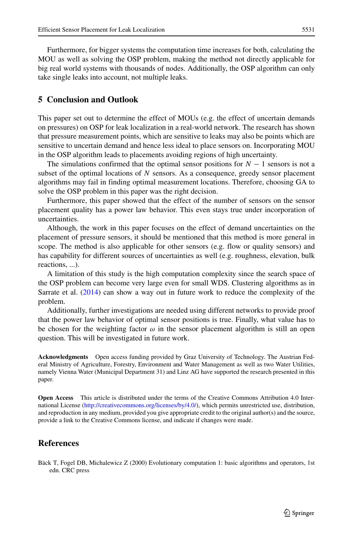Furthermore, for bigger systems the computation time increases for both, calculating the MOU as well as solving the OSP problem, making the method not directly applicable for big real world systems with thousands of nodes. Additionally, the OSP algorithm can only take single leaks into account, not multiple leaks.

# **5 Conclusion and Outlook**

This paper set out to determine the effect of MOUs (e.g. the effect of uncertain demands on pressures) on OSP for leak localization in a real-world network. The research has shown that pressure measurement points, which are sensitive to leaks may also be points which are sensitive to uncertain demand and hence less ideal to place sensors on. Incorporating MOU in the OSP algorithm leads to placements avoiding regions of high uncertainty.

The simulations confirmed that the optimal sensor positions for  $N-1$  sensors is not a subset of the optimal locations of *N* sensors. As a consequence, greedy sensor placement algorithms may fail in finding optimal measurement locations. Therefore, choosing GA to solve the OSP problem in this paper was the right decision.

Furthermore, this paper showed that the effect of the number of sensors on the sensor placement quality has a power law behavior. This even stays true under incorporation of uncertainties.

Although, the work in this paper focuses on the effect of demand uncertainties on the placement of pressure sensors, it should be mentioned that this method is more general in scope. The method is also applicable for other sensors (e.g. flow or quality sensors) and has capability for different sources of uncertainties as well (e.g. roughness, elevation, bulk reactions, ...).

A limitation of this study is the high computation complexity since the search space of the OSP problem can become very large even for small WDS. Clustering algorithms as in Sarrate et al. [\(2014\)](#page-16-4) can show a way out in future work to reduce the complexity of the problem.

Additionally, further investigations are needed using different networks to provide proof that the power law behavior of optimal sensor positions is true. Finally, what value has to be chosen for the weighting factor  $\omega$  in the sensor placement algorithm is still an open question. This will be investigated in future work.

**Acknowledgments** Open access funding provided by Graz University of Technology. The Austrian Federal Ministry of Agriculture, Forestry, Environment and Water Management as well as two Water Utilities, namely Vienna Water (Municipal Department 31) and Linz AG have supported the research presented in this paper.

**Open Access** This article is distributed under the terms of the Creative Commons Attribution 4.0 International License [\(http://creativecommons.org/licenses/by/4.0/\)](http://creativecommons.org/licenses/by/4.0/), which permits unrestricted use, distribution, and reproduction in any medium, provided you give appropriate credit to the original author(s) and the source, provide a link to the Creative Commons license, and indicate if changes were made.

# **References**

<span id="page-14-0"></span>Back T, Fogel DB, Michalewicz Z (2000) Evolutionary computation 1: basic algorithms and operators, 1st edn. CRC press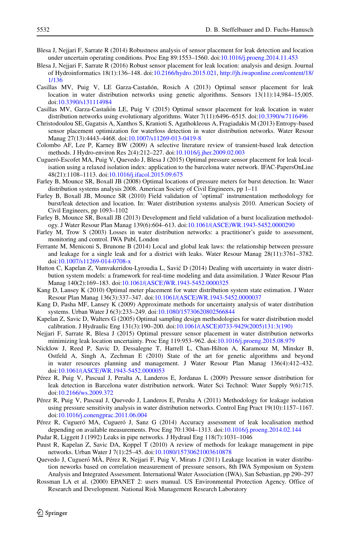- <span id="page-15-18"></span>Blesa J, Nejjari F, Sarrate R (2014) Robustness analysis of sensor placement for leak detection and location under uncertain operating conditions. Proc Eng 89:1553–1560. doi[:10.1016/j.proeng.2014.11.453](http://dx.doi.org/10.1016/j.proeng.2014.11.453)
- <span id="page-15-19"></span>Blesa J, Nejjari F, Sarrate R (2016) Robust sensor placement for leak location: analysis and design. Journal of Hydroinformatics 18(1):136–148. doi[:10.2166/hydro.2015.021,](http://dx.doi.org/10.2166/hydro.2015.021) [http://jh.iwaponline.com/content/18/](http://jh.iwaponline.com/content/18/1/136) [1/136](http://jh.iwaponline.com/content/18/1/136)
- <span id="page-15-11"></span>Casillas MV, Puig V, LE Garza-Castañón, Rosich A (2013) Optimal sensor placement for leak location in water distribution networks using genetic algorithms. Sensors 13(11):14,984–15,005. doi[:10.3390/s131114984](http://dx.doi.org/10.3390/s131114984)
- <span id="page-15-15"></span>Casillas MV, Garza-Castañón LE, Puig V (2015) Optimal sensor placement for leak location in water distribution networks using evolutionary algorithms. Water 7(11):6496–6515. doi[:10.3390/w7116496](http://dx.doi.org/10.3390/w7116496)
- <span id="page-15-16"></span>Christodoulou SE, Gagatsis A, Xanthos S, Kranioti S, Agathokleous A, Fragiadakis M (2013) Entropy-based sensor placement optimization for waterloss detection in water distribution networks. Water Resour Manag 27(13):4443–4468. doi[:10.1007/s11269-013-0419-8](http://dx.doi.org/10.1007/s11269-013-0419-8)
- <span id="page-15-0"></span>Colombo AF, Lee P, Karney BW (2009) A selective literature review of transient-based leak detection methods. J Hydro-environ Res 2(4):212–227. doi[:10.1016/j.jher.2009.02.003](http://dx.doi.org/10.1016/j.jher.2009.02.003)
- <span id="page-15-13"></span>Cugueró-Escofet MA, Puig V, Quevedo J, Blesa J (2015) Optimal pressure sensor placement for leak localisation using a relaxed isolation index: application to the barcelona water network. IFAC-PapersOnLine 48(21):1108–1113. doi[:10.1016/j.ifacol.2015.09.675](http://dx.doi.org/10.1016/j.ifacol.2015.09.675)
- <span id="page-15-6"></span>Farley B, Mounce SR, Boxall JB (2008) Optimal locations of pressure meters for burst detection. In: Water distribution systems analysis 2008. American Society of Civil Engineers, pp 1–11
- <span id="page-15-7"></span>Farley B, Boxall JB, Mounce SR (2010) Field validation of 'optimal' instrumentation methodology for burst/leak detection and location. In: Water distribution systems analysis 2010. American Society of Civil Engineers, pp 1093–1102
- <span id="page-15-8"></span>Farley B, Mounce SR, Boxall JB (2013) Development and field validation of a burst localization methodology. J Water Resour Plan Manag 139(6):604–613. doi[:10.1061/\(ASCE\)WR.1943-5452.0000290](http://dx.doi.org/10.1061/(ASCE)WR.1943-5452.0000290)
- <span id="page-15-2"></span>Farley M, Trow S (2003) Losses in water distribution networks: a practitioner's guide to assessment, monitoring and control. IWA Publ, London
- <span id="page-15-20"></span>Ferrante M, Meniconi S, Brunone B (2014) Local and global leak laws: the relationship between pressure and leakage for a single leak and for a district with leaks. Water Resour Manag 28(11):3761–3782. doi[:10.1007/s11269-014-0708-x](http://dx.doi.org/10.1007/s11269-014-0708-x)
- <span id="page-15-17"></span>Hutton C, Kapelan Z, Vamvakeridou-Lyroudia L, Savic D (2014) Dealing with uncertainty in water distri- ´ bution system models: a framework for real-time modeling and data assimilation. J Water Resour Plan Manag 140(2):169–183. doi[:10.1061/\(ASCE\)WR.1943-5452.0000325](http://dx.doi.org/10.1061/(ASCE)WR.1943-5452.0000325)
- <span id="page-15-5"></span>Kang D, Lansey K (2010) Optimal meter placement for water distribution system state estimation. J Water Resour Plan Manag 136(3):337–347. doi[:10.1061/\(ASCE\)WR.1943-5452.0000037](http://dx.doi.org/10.1061/(ASCE)WR.1943-5452.0000037)
- <span id="page-15-22"></span>Kang D, Pasha MF, Lansey K (2009) Approximate methods for uncertainty analysis of water distribution systems. Urban Water J 6(3):233–249. doi[:10.1080/15730620802566844](http://dx.doi.org/10.1080/15730620802566844)
- <span id="page-15-24"></span>Kapelan Z, Savic D, Walters G (2005) Optimal sampling design methodologies for water distribution model calibration. J Hydraulic Eng 131(3):190–200. doi[:10.1061/\(ASCE\)0733-9429\(2005\)131:3\(190\)](http://dx.doi.org/10.1061/(ASCE)0733-9429(2005)131:3(190))
- <span id="page-15-14"></span>Nejjari F, Sarrate R, Blesa J (2015) Optimal pressure sensor placement in water distribution networks minimizing leak location uncertainty. Proc Eng 119:953–962. doi[:10.1016/j.proeng.2015.08.979](http://dx.doi.org/10.1016/j.proeng.2015.08.979)
- <span id="page-15-23"></span>Nicklow J, Reed P, Savic D, Dessalegne T, Harrell L, Chan-Hilton A, Karamouz M, Minsker B, Ostfeld A, Singh A, Zechman E (2010) State of the art for genetic algorithms and beyond in water resources planning and management. J Water Resour Plan Manag 136(4):412–432. doi[:10.1061/\(ASCE\)WR.1943-5452.0000053](http://dx.doi.org/10.1061/(ASCE)WR.1943-5452.0000053)
- <span id="page-15-9"></span>Perez R, Puig V, Pascual J, Peralta A, Landeros E, Jordanas L (2009) Pressure sensor distribution for ´ leak detection in Barcelona water distribution network. Water Sci Technol: Water Supply 9(6):715. doi[:10.2166/ws.2009.372](http://dx.doi.org/10.2166/ws.2009.372)
- <span id="page-15-4"></span>Perez R, Puig V, Pascual J, Quevedo J, Landeros E, Peralta A (2011) Methodology for leakage isolation ´ using pressure sensitivity analysis in water distribution networks. Control Eng Pract 19(10):1157–1167. doi[:10.1016/j.conengprac.2011.06.004](http://dx.doi.org/10.1016/j.conengprac.2011.06.004)
- <span id="page-15-12"></span>Pérez R, Cugueró MA, Cugueró J, Sanz G (2014) Accuracy assessment of leak localisation method depending on available measurements. Proc Eng 70:1304–1313. doi[:10.1016/j.proeng.2014.02.144](http://dx.doi.org/10.1016/j.proeng.2014.02.144)
- <span id="page-15-3"></span>Pudar R, Liggett J (1992) Leaks in pipe networks. J Hydraul Eng 118(7):1031–1046
- <span id="page-15-1"></span>Puust R, Kapelan Z, Savic DA, Koppel T (2010) A review of methods for leakage management in pipe networks. Urban Water J 7(1):25–45. doi[:10.1080/15730621003610878](http://dx.doi.org/10.1080/15730621003610878)
- <span id="page-15-10"></span>Quevedo J, Cugueró MA, Pérez R, Nejjari F, Puig V, Mirats J (2011) Leakage location in water distribution neworks based on correlation measurement of pressure sensors, 8th IWA Symposium on System Analysis and Integrated Assessment. International Water Association (IWA), San Sebastian, pp 290–297
- <span id="page-15-21"></span>Rossman LA et al. (2000) EPANET 2: users manual. US Environmental Protection Agency. Office of Research and Development. National Risk Management Research Laboratory